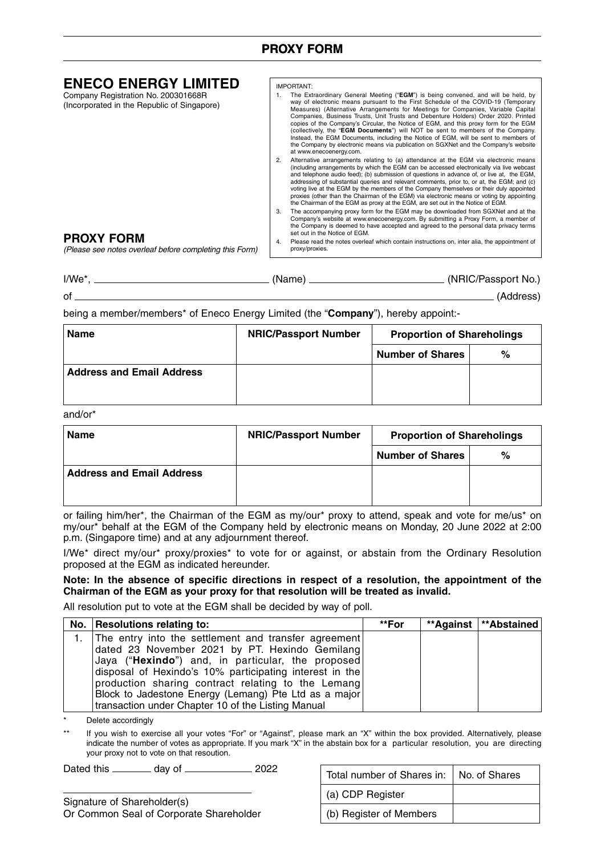## **PROXY FORM**

| <b>ENECO ENERGY LIMITED</b>                                                        |    | IMPORTANT:                                                                                                                                                                                                                                                                                                                                                                                                                                                                                                                                                                                                                                                                                                                           |
|------------------------------------------------------------------------------------|----|--------------------------------------------------------------------------------------------------------------------------------------------------------------------------------------------------------------------------------------------------------------------------------------------------------------------------------------------------------------------------------------------------------------------------------------------------------------------------------------------------------------------------------------------------------------------------------------------------------------------------------------------------------------------------------------------------------------------------------------|
| Company Registration No. 200301668R<br>(Incorporated in the Republic of Singapore) |    | The Extraordinary General Meeting ("EGM") is being convened, and will be held, by<br>way of electronic means pursuant to the First Schedule of the COVID-19 (Temporary<br>Measures) (Alternative Arrangements for Meetings for Companies, Variable Capital<br>Companies, Business Trusts, Unit Trusts and Debenture Holders) Order 2020. Printed<br>copies of the Company's Circular, the Notice of EGM, and this proxy form for the EGM<br>(collectively, the "EGM Documents") will NOT be sent to members of the Company.<br>Instead, the EGM Documents, including the Notice of EGM, will be sent to members of<br>the Company by electronic means via publication on SGXNet and the Company's website<br>at www.enecoenergy.com. |
|                                                                                    |    | Alternative arrangements relating to (a) attendance at the EGM via electronic means<br>(including arrangements by which the EGM can be accessed electronically via live webcast<br>and telephone audio feed); (b) submission of questions in advance of, or live at, the EGM,<br>addressing of substantial queries and relevant comments, prior to, or at, the EGM; and (c)<br>voting live at the EGM by the members of the Company themselves or their duly appointed<br>proxies (other than the Chairman of the EGM) via electronic means or voting by appointing<br>the Chairman of the EGM as proxy at the EGM, are set out in the Notice of EGM.                                                                                |
|                                                                                    |    | The accompanying proxy form for the EGM may be downloaded from SGXNet and at the<br>Company's website at www.enecoenergy.com. By submitting a Proxy Form, a member of<br>the Company is deemed to have accepted and agreed to the personal data privacy terms<br>set out in the Notice of EGM.                                                                                                                                                                                                                                                                                                                                                                                                                                       |
| <b>PROXY FORM</b><br>(Please see notes overleaf before completing this Form)       | 4. | Please read the notes overleaf which contain instructions on, inter alia, the appointment of<br>proxy/proxies.                                                                                                                                                                                                                                                                                                                                                                                                                                                                                                                                                                                                                       |
|                                                                                    |    |                                                                                                                                                                                                                                                                                                                                                                                                                                                                                                                                                                                                                                                                                                                                      |

| I/We* | (Name) | (NRIC/Passport No.) |
|-------|--------|---------------------|
| οf    |        | (Address)           |

being a member/members\* of Eneco Energy Limited (the "**Company**"), hereby appoint:-

| <b>Name</b>                      | <b>NRIC/Passport Number</b> | <b>Proportion of Shareholings</b> |   |  |
|----------------------------------|-----------------------------|-----------------------------------|---|--|
|                                  |                             | <b>Number of Shares</b>           | % |  |
| <b>Address and Email Address</b> |                             |                                   |   |  |
|                                  |                             |                                   |   |  |

and/or\*

| <b>Name</b>                      | <b>NRIC/Passport Number</b> | <b>Proportion of Shareholings</b> |   |
|----------------------------------|-----------------------------|-----------------------------------|---|
|                                  |                             | <b>Number of Shares</b>           | % |
| <b>Address and Email Address</b> |                             |                                   |   |
|                                  |                             |                                   |   |

or failing him/her\*, the Chairman of the EGM as my/our\* proxy to attend, speak and vote for me/us\* on my/our\* behalf at the EGM of the Company held by electronic means on Monday, 20 June 2022 at 2:00 p.m. (Singapore time) and at any adjournment thereof.

I/We\* direct my/our\* proxy/proxies\* to vote for or against, or abstain from the Ordinary Resolution proposed at the EGM as indicated hereunder.

**Note: In the absence of specific directions in respect of a resolution, the appointment of the Chairman of the EGM as your proxy for that resolution will be treated as invalid.** 

All resolution put to vote at the EGM shall be decided by way of poll.

| No.   Resolutions relating to:                          | **For | **Against   **Abstained |
|---------------------------------------------------------|-------|-------------------------|
| 1. The entry into the settlement and transfer agreement |       |                         |
| dated 23 November 2021 by PT. Hexindo Gemilang          |       |                         |
| Jaya ("Hexindo") and, in particular, the proposed       |       |                         |
| disposal of Hexindo's 10% participating interest in the |       |                         |
| production sharing contract relating to the Lemang      |       |                         |
| Block to Jadestone Energy (Lemang) Pte Ltd as a major   |       |                         |
| transaction under Chapter 10 of the Listing Manual      |       |                         |

Delete accordingly

If you wish to exercise all your votes "For" or "Against", please mark an "X" within the box provided. Alternatively, please indicate the number of votes as appropriate. If you mark "X" in the abstain box for a particular resolution, you are directing your proxy not to vote on that resoution.

Dated this \_\_\_\_\_\_\_\_\_ day of \_\_\_\_\_\_\_\_\_\_\_\_\_\_\_\_ 2022

Signature of Shareholder(s) Or Common Seal of Corporate Shareholder

| Total number of Shares in:   No. of Shares |  |
|--------------------------------------------|--|
| (a) CDP Register                           |  |
| (b) Register of Members                    |  |